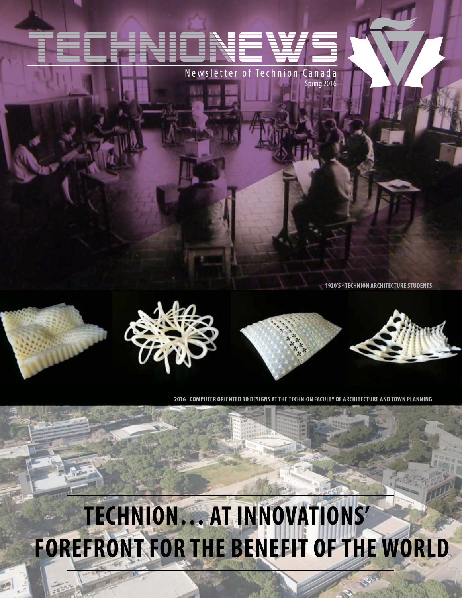Newsletter of Technion Canada Spring 2016

**1920'S - TECHNION ARCHITECTURE STUDENTS** 









2016 - COMPUTER ORIENTED 3D DESIGNS AT THE TECHNION FACULTY OF ARCHITECTURE AND TOWN PLANNING

# **Technion… At Innovations' Forefront for the Benefit ofthe World**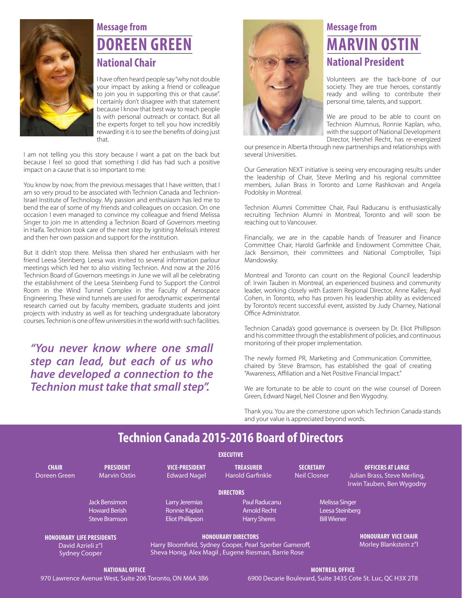

### **Message from Doreen Green National Chair**

I have often heard people say "why not double your impact by asking a friend or colleague to join you in supporting this or that cause". I certainly don't disagree with that statement because I know that best way to reach people is with personal outreach or contact. But all the experts forget to tell you how incredibly rewarding it is to see the benefits of doing just that.

I am not telling you this story because I want a pat on the back but because I feel so good that something I did has had such a positive impact on a cause that is so important to me.

You know by now, from the previous messages that I have written, that I am so very proud to be associated with Technion Canada and Technion-Israel Institute of Technology. My passion and enthusiasm has led me to bend the ear of some of my friends and colleagues on occasion. On one occasion I even managed to convince my colleague and friend Melissa Singer to join me in attending a Technion Board of Governors meeting in Haifa. Technion took care of the next step by igniting Melissa's interest and then her own passion and support for the institution.

But it didn't stop there. Melissa then shared her enthusiasm with her friend Leesa Steinberg. Leesa was invited to several information parlour meetings which led her to also visiting Technion. And now at the 2016 Technion Board of Governors meetings in June we will all be celebrating the establishment of the Leesa Steinberg Fund to Support the Control Room in the Wind Tunnel Complex in the Faculty of Aerospace Engineering. These wind tunnels are used for aerodynamic experimental research carried out by faculty members, graduate students and joint projects with industry as well as for teaching undergraduate laboratory courses. Technion is one of few universities in the world with such facilities.

*"You never know where one small step can lead, but each of us who have developed a connection to the Technion must take that small step".* 



### **Message from Marvin Ostin National President**

Volunteers are the back-bone of our society. They are true heroes, constantly ready and willing to contribute their personal time, talents, and support.

We are proud to be able to count on Technion Alumnus, Ronnie Kaplan, who, with the support of National Development Director, Hershel Recht, has re-energized

our presence in Alberta through new partnerships and relationships with several Universities.

Our Generation NEXT initiative is seeing very encouraging results under the leadership of Chair, Steve Merling and his regional committee members, Julian Brass in Toronto and Lorne Rashkovan and Angela Podolsky in Montreal.

Technion Alumni Committee Chair, Paul Raducanu is enthusiastically recruiting Technion Alumni in Montreal, Toronto and will soon be reaching out to Vancouver.

Financially, we are in the capable hands of Treasurer and Finance Committee Chair, Harold Garfinkle and Endowment Committee Chair, Jack Bensimon, their committees and National Comptroller, Tsipi Mandowsky.

Montreal and Toronto can count on the Regional Council leadership of: Irwin Tauben in Montreal, an experienced business and community leader, working closely with Eastern Regional Director, Anne Kalles; Ayal Cohen, in Toronto, who has proven his leadership ability as evidenced by Toronto's recent successful event, assisted by Judy Charney, National Office Administrator.

Technion Canada's good governance is overseen by Dr. Eliot Phillipson and his committee through the establishment of policies, and continuous monitoring of their proper implementation.

The newly formed PR, Marketing and Communication Committee, chaired by Steve Bramson, has established the goal of creating "Awareness, Affiliation and a Net Positive Financial Impact."

We are fortunate to be able to count on the wise counsel of Doreen Green, Edward Nagel, Neil Closner and Ben Wygodny.

Thank you. You are the cornerstone upon which Technion Canada stands and your value is appreciated beyond words.

#### **Technion Canada 2015-2016 Board of Directors**

|                                                                                |                                                                      |                                                                                                                                                | <b>EXECUTIVE</b>                                            |                                         |                                                                                       |  |
|--------------------------------------------------------------------------------|----------------------------------------------------------------------|------------------------------------------------------------------------------------------------------------------------------------------------|-------------------------------------------------------------|-----------------------------------------|---------------------------------------------------------------------------------------|--|
| <b>CHAIR</b><br>Doreen Green                                                   | <b>PRESIDENT</b><br><b>Marvin Ostin</b>                              | <b>VICE-PRESIDENT</b><br><b>Edward Nagel</b>                                                                                                   | <b>TREASURER</b><br><b>Harold Garfinkle</b>                 | <b>SECRETARY</b><br><b>Neil Closner</b> | <b>OFFICERS AT LARGE</b><br>Julian Brass, Steve Merling,<br>Irwin Tauben, Ben Wygodny |  |
|                                                                                |                                                                      |                                                                                                                                                | <b>DIRECTORS</b>                                            |                                         |                                                                                       |  |
|                                                                                | <b>Jack Bensimon</b><br><b>Howard Berish</b><br><b>Steve Bramson</b> | Larry Jeremias<br>Ronnie Kaplan<br><b>Eliot Phillipson</b>                                                                                     | Paul Raducanu<br><b>Arnold Recht</b><br><b>Harry Sheres</b> |                                         | <b>Melissa Singer</b><br>Leesa Steinberg<br><b>Bill Wiener</b>                        |  |
| <b>HONOURARY LIFE PRESIDENTS</b><br>David Azrieli z"l.<br><b>Sydney Cooper</b> |                                                                      | <b>HONOURARY DIRECTORS</b><br>Harry Bloomfield, Sydney Cooper, Pearl Sperber Gameroff,<br>Sheva Honig, Alex Magil, Eugene Riesman, Barrie Rose |                                                             |                                         | <b>HONOURARY VICE CHAIR</b><br>Morley Blankstein z"l                                  |  |
| NATIONAL OFFICE                                                                |                                                                      |                                                                                                                                                | <b>MONTREAL OFFICE</b>                                      |                                         |                                                                                       |  |

970 Lawrence Avenue West, Suite 206 Toronto, ON M6A 3B6

**Montreal Office** 6900 Decarie Boulevard, Suite 3435 Cote St. Luc, QC H3X 2T8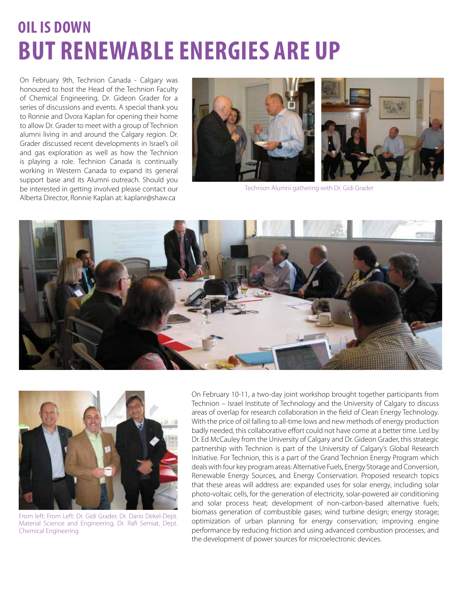### **Oil is Down but Renewable Energies are Up**

On February 9th, Technion Canada - Calgary was honoured to host the Head of the Technion Faculty of Chemical Engineering, Dr. Gideon Grader for a series of discussions and events. A special thank you to Ronnie and Dvora Kaplan for opening their home to allow Dr. Grader to meet with a group of Technion alumni living in and around the Calgary region. Dr. Grader discussed recent developments in Israel's oil and gas exploration as well as how the Technion is playing a role. Technion Canada is continually working in Western Canada to expand its general support base and its Alumni outreach. Should you be interested in getting involved please contact our Alberta Director, Ronnie Kaplan at: kaplanr@shaw.ca



Technion Alumni gathering with Dr. Gidi Grader





From left: From Left: Dr. Gidi Grader, Dr. Dario Dekel-Dept. Material Science and Engineering, Dr. Rafi Semiat, Dept. Chemical Engineering

On February 10-11, a two-day joint workshop brought together participants from Technion – Israel Institute of Technology and the University of Calgary to discuss areas of overlap for research collaboration in the field of Clean Energy Technology. With the price of oil falling to all-time lows and new methods of energy production badly needed, this collaborative effort could not have come at a better time. Led by Dr. Ed McCauley from the University of Calgary and Dr. Gideon Grader, this strategic partnership with Technion is part of the University of Calgary's Global Research Initiative. For Technion, this is a part of the Grand Technion Energy Program which deals with four key program areas: Alternative Fuels, Energy Storage and Conversion, Renewable Energy Sources, and Energy Conservation. Proposed research topics that these areas will address are: expanded uses for solar energy, including solar photo-voltaic cells, for the generation of electricity, solar-powered air conditioning and solar process heat; development of non-carbon-based alternative fuels; biomass generation of combustible gases; wind turbine design; energy storage; optimization of urban planning for energy conservation; improving engine performance by reducing friction and using advanced combustion processes; and the development of power sources for microelectronic devices.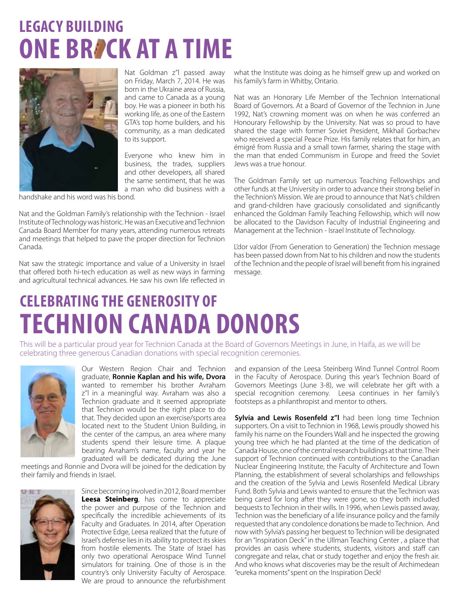### **LEGACY BUILDING ONE BRACK AT A TIME**



Nat Goldman z"l passed away on Friday, March 7, 2014. He was born in the Ukraine area of Russia, and came to Canada as a young boy. He was a pioneer in both his working life, as one of the Eastern GTA's top home builders, and his community, as a man dedicated to its support.

Everyone who knew him in business, the trades, suppliers and other developers, all shared the same sentiment, that he was a man who did business with a

handshake and his word was his bond.

Nat and the Goldman Family's relationship with the Technion - Israel Institute of Technology was historic. He was an Executive and Technion Canada Board Member for many years, attending numerous retreats and meetings that helped to pave the proper direction for Technion Canada.

Nat saw the strategic importance and value of a University in Israel that offered both hi-tech education as well as new ways in farming and agricultural technical advances. He saw his own life reflected in

what the Institute was doing as he himself grew up and worked on his family's farm in Whitby, Ontario.

Nat was an Honorary Life Member of the Technion International Board of Governors. At a Board of Governor of the Technion in June 1992, Nat's crowning moment was on when he was conferred an Honourary Fellowship by the University. Nat was so proud to have shared the stage with former Soviet President, Mikhail Gorbachev who received a special Peace Prize. His family relates that for him, an émigré from Russia and a small town farmer, sharing the stage with the man that ended Communism in Europe and freed the Soviet Jews was a true honour.

The Goldman Family set up numerous Teaching Fellowships and other funds at the University in order to advance their strong belief in the Technion's Mission. We are proud to announce that Nat's children and grand-children have graciously consolidated and significantly enhanced the Goldman Family Teaching Fellowship, which will now be allocated to the Davidson Faculty of Industrial Engineering and Management at the Technion - Israel Institute of Technology.

L'dor va'dor (From Generation to Generation) the Technion message has been passed down from Nat to his children and now the students of the Technion and the people of Israel will benefit from his ingrained message.

### **Celebrating the generosity of Technion Canada Donors**

This will be a particular proud year for Technion Canada at the Board of Governors Meetings in June, in Haifa, as we will be celebrating three generous Canadian donations with special recognition ceremonies.



Our Western Region Chair and Technion graduate, **Ronnie Kaplan and his wife, Dvora**  wanted to remember his brother Avraham z"l in a meaningful way. Avraham was also a Technion graduate and it seemed appropriate that Technion would be the right place to do that. They decided upon an exercise/sports area located next to the Student Union Building, in the center of the campus, an area where many students spend their leisure time. A plaque bearing Avraham's name, faculty and year he graduated will be dedicated during the June

meetings and Ronnie and Dvora will be joined for the dedication by their family and friends in Israel.



Since becoming involved in 2012, Board member **Leesa Steinberg**, has come to appreciate the power and purpose of the Technion and specifically the incredible achievements of its Faculty and Graduates. In 2014, after Operation Protective Edge, Leesa realized that the future of Israel's defense lies in its ability to protect its skies from hostile elements. The State of Israel has only two operational Aerospace Wind Tunnel simulators for training. One of those is in the country's only University Faculty of Aerospace. We are proud to announce the refurbishment

and expansion of the Leesa Steinberg Wind Tunnel Control Room in the Faculty of Aerospace. During this year's Technion Board of Governors Meetings (June 3-8), we will celebrate her gift with a special recognition ceremony. Leesa continues in her family's footsteps as a philanthropist and mentor to others.

**Sylvia and Lewis Rosenfeld z"I** had been long time Technion supporters. On a visit to Technion in 1968, Lewis proudly showed his family his name on the Founders Wall and he inspected the growing young tree which he had planted at the time of the dedication of Canada House, one of the central research buildings at that time. Their support of Technion continued with contributions to the Canadian Nuclear Engineering Institute, the Faculty of Architecture and Town Planning, the establishment of several scholarships and fellowships and the creation of the Sylvia and Lewis Rosenfeld Medical Library Fund. Both Sylvia and Lewis wanted to ensure that the Technion was being cared for long after they were gone, so they both included bequests to Technion in their wills. In 1996, when Lewis passed away, Technion was the beneficiary of a life insurance policy and the family requested that any condolence donations be made to Technion. And now with Sylvia's passing her bequest to Technion will be designated for an "Inspiration Deck" in the Ullman Teaching Center , a place that provides an oasis where students, students, visitors and staff can congregate and relax, chat or study together and enjoy the fresh air. And who knows what discoveries may be the result of Archimedean "eureka moments" spent on the Inspiration Deck!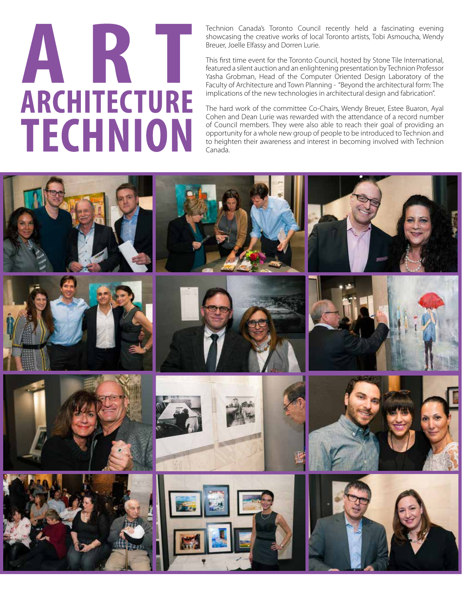# AKT **ARCHITECTURE TECHNION**

Technion Canada's Toronto Council recently held a fascinating evening showcasing the creative works of local Toronto artists, Tobi Asmoucha, Wendy Breuer, Joelle Elfassy and Dorren Lurie.

This first time event for the Toronto Council, hosted by Stone Tile International, featured a silent auction and an enlightening presentation by Technion Professor Yasha Grobman, Head of the Computer Oriented Design Laboratory of the Faculty of Architecture and Town Planning - "Beyond the architectural form: The implications of the new technologies in architectural design and fabrication".

The hard work of the committee Co-Chairs, Wendy Breuer, Estee Buaron, Ayal Cohen and Dean Lurie was rewarded with the attendance of a record number of Council members. They were also able to reach their goal of providing an opportunity for a whole new group of people to be introduced to Technion and to heighten their awareness and interest in becoming involved with Technion Canada.

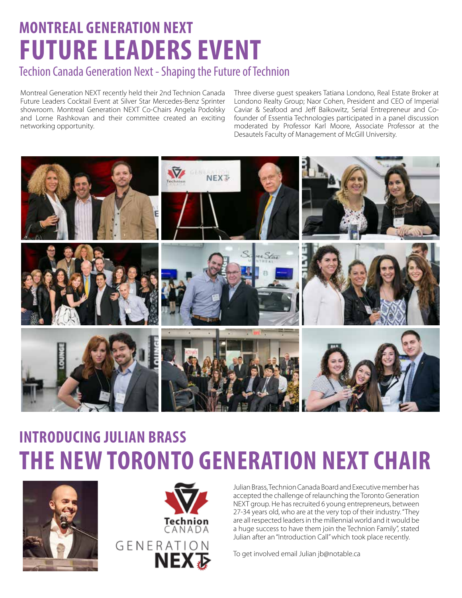## **montreal generation next future leaders event**

#### Techion Canada Generation Next - Shaping the Future of Technion

Montreal Generation NEXT recently held their 2nd Technion Canada Future Leaders Cocktail Event at Silver Star Mercedes-Benz Sprinter showroom. Montreal Generation NEXT Co-Chairs Angela Podolsky and Lorne Rashkovan and their committee created an exciting networking opportunity.

Three diverse guest speakers Tatiana Londono, Real Estate Broker at Londono Realty Group; Naor Cohen, President and CEO of Imperial Caviar & Seafood and Jeff Baikowitz, Serial Entrepreneur and Cofounder of Essentia Technologies participated in a panel discussion moderated by Professor Karl Moore, Associate Professor at the Desautels Faculty of Management of McGill University.



### **Introducing julian brass the new Toronto Generation NEXT Chair**





Julian Brass, Technion Canada Board and Executive member has accepted the challenge of relaunching the Toronto Generation NEXT group. He has recruited 6 young entrepreneurs, between 27-34 years old, who are at the very top of their industry. "They are all respected leaders in the millennial world and it would be a huge success to have them join the Technion Family", stated Julian after an "Introduction Call" which took place recently.

To get involved email Julian jb@notable.ca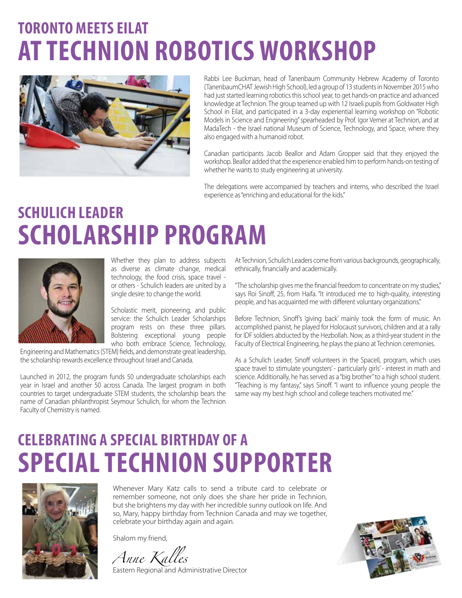## **toronto meets eilat AT TECHNION ROBOTICS WORKSHOP**



Rabbi Lee Buckman, head of Tanenbaum Community Hebrew Academy of Toronto (TanenbaumCHAT Jewish High School), led a group of 13 students in November 2015 who had just started learning robotics this school year, to get hands-on practice and advanced knowledge at Technion. The group teamed up with 12 Israeli pupils from Goldwater High School in Eilat, and participated in a 3-day experiential learning workshop on "Robotic Models in Science and Engineering" spearheaded by Prof. Igor Verner at Technion, and at MadaTech - the Israel national Museum of Science, Technology, and Space, where they also engaged with a humanoid robot.

Canadian participants Jacob Beallor and Adam Gropper said that they enjoyed the workshop. Beallor added that the experience enabled him to perform hands-on testing of whether he wants to study engineering at university.

The delegations were accompanied by teachers and interns, who described the Israel experience as "enriching and educational for the kids."

### **Schulich leader scholarship program**



Whether they plan to address subjects as diverse as climate change, medical technology, the food crisis, space travel or others - Schulich leaders are united by a single desire: to change the world.

Scholastic merit, pioneering, and public service: the Schulich Leader Scholarships program rests on these three pillars. Bolstering exceptional young people who both embrace Science, Technology,

Engineering and Mathematics (STEM) fields, and demonstrate great leadership, the scholarship rewards excellence throughout Israel and Canada.

Launched in 2012, the program funds 50 undergraduate scholarships each year in Israel and another 50 across Canada. The largest program in both countries to target undergraduate STEM students, the scholarship bears the name of Canadian philanthropist Seymour Schulich, for whom the Technion Faculty of Chemistry is named.

At Technion, Schulich Leaders come from various backgrounds, geographically, ethnically, financially and academically.

"The scholarship gives me the financial freedom to concentrate on my studies," says Roi Sinoff, 25, from Haifa. "It introduced me to high-quality, interesting people, and has acquainted me with different voluntary organizations."

Before Technion, Sinoff's 'giving back' mainly took the form of music. An accomplished pianist, he played for Holocaust survivors, children and at a rally for IDF soldiers abducted by the Hezbollah. Now, as a third-year student in the Faculty of Electrical Engineering, he plays the piano at Technion ceremonies.

As a Schulich Leader, Sinoff volunteers in the SpaceIL program, which uses space travel to stimulate youngsters' - particularly girls' - interest in math and science. Additionally, he has served as a "big brother" to a high school student. "Teaching is my fantasy," says Sinoff. "I want to influence young people the same way my best high school and college teachers motivated me."

## **Celebrating a special birthday of a special technion supporter**



Whenever Mary Katz calls to send a tribute card to celebrate or remember someone, not only does she share her pride in Technion, but she brightens my day with her incredible sunny outlook on life. And so, Mary, happy birthday from Technion Canada and may we together, celebrate your birthday again and again.

Shalom my friend,

*Anne Kalles*

Eastern Regional and Administrative Director